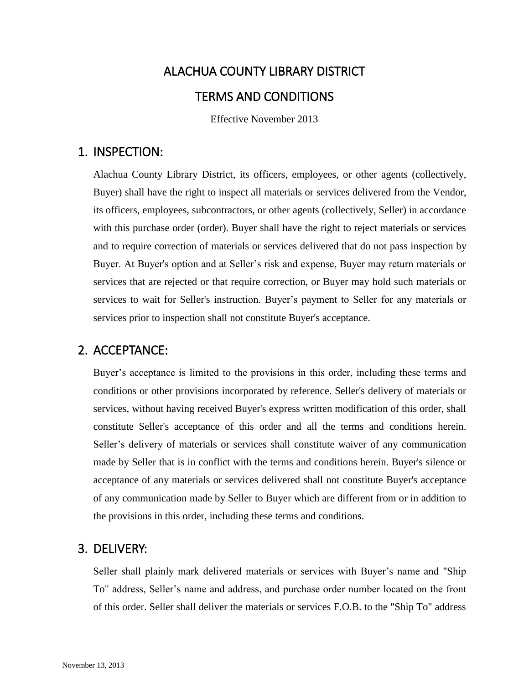# ALACHUA COUNTY LIBRARY DISTRICT TERMS AND CONDITIONS

Effective November 2013

# 1. INSPECTION:

Alachua County Library District, its officers, employees, or other agents (collectively, Buyer) shall have the right to inspect all materials or services delivered from the Vendor, its officers, employees, subcontractors, or other agents (collectively, Seller) in accordance with this purchase order (order). Buyer shall have the right to reject materials or services and to require correction of materials or services delivered that do not pass inspection by Buyer. At Buyer's option and at Seller's risk and expense, Buyer may return materials or services that are rejected or that require correction, or Buyer may hold such materials or services to wait for Seller's instruction. Buyer's payment to Seller for any materials or services prior to inspection shall not constitute Buyer's acceptance.

# 2. ACCEPTANCE:

Buyer's acceptance is limited to the provisions in this order, including these terms and conditions or other provisions incorporated by reference. Seller's delivery of materials or services, without having received Buyer's express written modification of this order, shall constitute Seller's acceptance of this order and all the terms and conditions herein. Seller's delivery of materials or services shall constitute waiver of any communication made by Seller that is in conflict with the terms and conditions herein. Buyer's silence or acceptance of any materials or services delivered shall not constitute Buyer's acceptance of any communication made by Seller to Buyer which are different from or in addition to the provisions in this order, including these terms and conditions.

# 3. DELIVERY:

Seller shall plainly mark delivered materials or services with Buyer's name and "Ship To" address, Seller's name and address, and purchase order number located on the front of this order. Seller shall deliver the materials or services F.O.B. to the "Ship To" address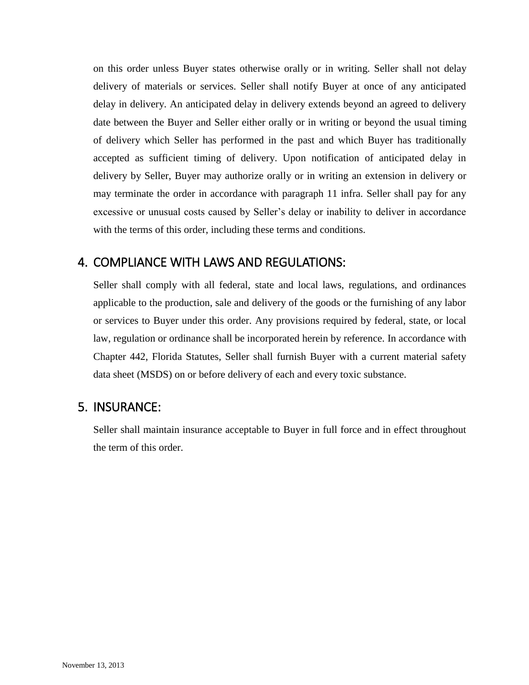on this order unless Buyer states otherwise orally or in writing. Seller shall not delay delivery of materials or services. Seller shall notify Buyer at once of any anticipated delay in delivery. An anticipated delay in delivery extends beyond an agreed to delivery date between the Buyer and Seller either orally or in writing or beyond the usual timing of delivery which Seller has performed in the past and which Buyer has traditionally accepted as sufficient timing of delivery. Upon notification of anticipated delay in delivery by Seller, Buyer may authorize orally or in writing an extension in delivery or may terminate the order in accordance with paragraph 11 infra. Seller shall pay for any excessive or unusual costs caused by Seller's delay or inability to deliver in accordance with the terms of this order, including these terms and conditions.

## 4. COMPLIANCE WITH LAWS AND REGULATIONS:

Seller shall comply with all federal, state and local laws, regulations, and ordinances applicable to the production, sale and delivery of the goods or the furnishing of any labor or services to Buyer under this order. Any provisions required by federal, state, or local law, regulation or ordinance shall be incorporated herein by reference. In accordance with Chapter 442, Florida Statutes, Seller shall furnish Buyer with a current material safety data sheet (MSDS) on or before delivery of each and every toxic substance.

#### 5. INSURANCE:

Seller shall maintain insurance acceptable to Buyer in full force and in effect throughout the term of this order.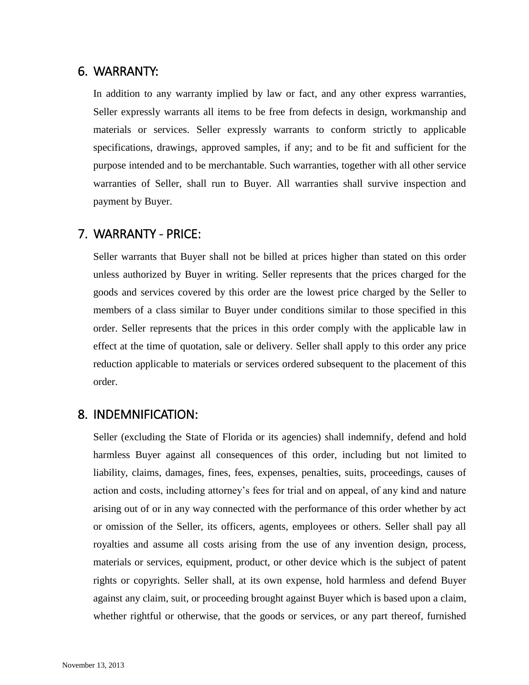## 6. WARRANTY:

In addition to any warranty implied by law or fact, and any other express warranties, Seller expressly warrants all items to be free from defects in design, workmanship and materials or services. Seller expressly warrants to conform strictly to applicable specifications, drawings, approved samples, if any; and to be fit and sufficient for the purpose intended and to be merchantable. Such warranties, together with all other service warranties of Seller, shall run to Buyer. All warranties shall survive inspection and payment by Buyer.

#### 7. WARRANTY - PRICE:

Seller warrants that Buyer shall not be billed at prices higher than stated on this order unless authorized by Buyer in writing. Seller represents that the prices charged for the goods and services covered by this order are the lowest price charged by the Seller to members of a class similar to Buyer under conditions similar to those specified in this order. Seller represents that the prices in this order comply with the applicable law in effect at the time of quotation, sale or delivery. Seller shall apply to this order any price reduction applicable to materials or services ordered subsequent to the placement of this order.

#### 8. INDEMNIFICATION:

Seller (excluding the State of Florida or its agencies) shall indemnify, defend and hold harmless Buyer against all consequences of this order, including but not limited to liability, claims, damages, fines, fees, expenses, penalties, suits, proceedings, causes of action and costs, including attorney's fees for trial and on appeal, of any kind and nature arising out of or in any way connected with the performance of this order whether by act or omission of the Seller, its officers, agents, employees or others. Seller shall pay all royalties and assume all costs arising from the use of any invention design, process, materials or services, equipment, product, or other device which is the subject of patent rights or copyrights. Seller shall, at its own expense, hold harmless and defend Buyer against any claim, suit, or proceeding brought against Buyer which is based upon a claim, whether rightful or otherwise, that the goods or services, or any part thereof, furnished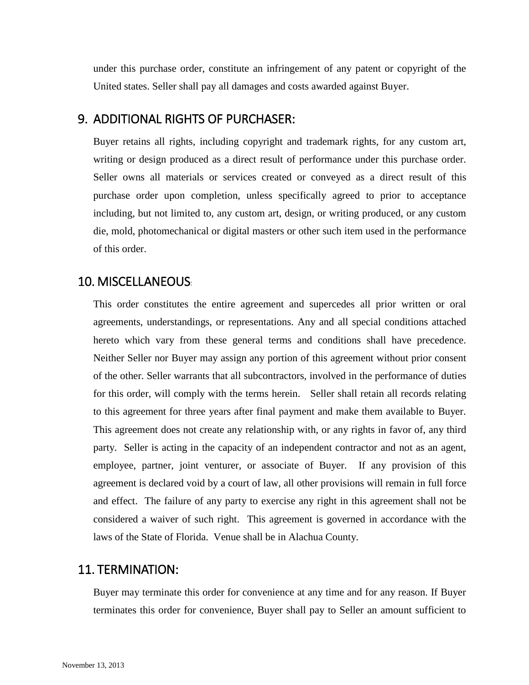under this purchase order, constitute an infringement of any patent or copyright of the United states. Seller shall pay all damages and costs awarded against Buyer.

## 9. ADDITIONAL RIGHTS OF PURCHASER:

Buyer retains all rights, including copyright and trademark rights, for any custom art, writing or design produced as a direct result of performance under this purchase order. Seller owns all materials or services created or conveyed as a direct result of this purchase order upon completion, unless specifically agreed to prior to acceptance including, but not limited to, any custom art, design, or writing produced, or any custom die, mold, photomechanical or digital masters or other such item used in the performance of this order.

# 10. MISCELLANEOUS:

This order constitutes the entire agreement and supercedes all prior written or oral agreements, understandings, or representations. Any and all special conditions attached hereto which vary from these general terms and conditions shall have precedence. Neither Seller nor Buyer may assign any portion of this agreement without prior consent of the other. Seller warrants that all subcontractors, involved in the performance of duties for this order, will comply with the terms herein. Seller shall retain all records relating to this agreement for three years after final payment and make them available to Buyer. This agreement does not create any relationship with, or any rights in favor of, any third party. Seller is acting in the capacity of an independent contractor and not as an agent, employee, partner, joint venturer, or associate of Buyer. If any provision of this agreement is declared void by a court of law, all other provisions will remain in full force and effect. The failure of any party to exercise any right in this agreement shall not be considered a waiver of such right. This agreement is governed in accordance with the laws of the State of Florida. Venue shall be in Alachua County.

#### 11. TERMINATION:

Buyer may terminate this order for convenience at any time and for any reason. If Buyer terminates this order for convenience, Buyer shall pay to Seller an amount sufficient to